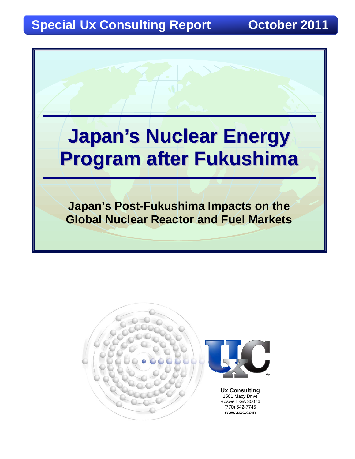# **Special Ux Consulting Report Construction October 2011**



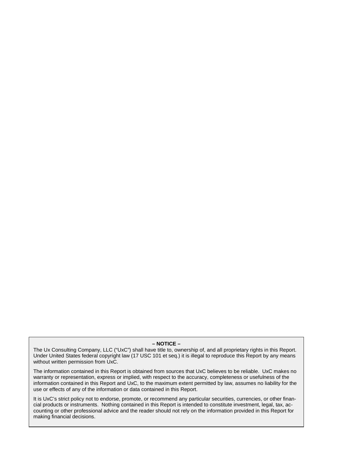#### **– NOTICE –**

The Ux Consulting Company, LLC ("UxC") shall have title to, ownership of, and all proprietary rights in this Report. Under United States federal copyright law (17 USC 101 et seq.) it is illegal to reproduce this Report by any means without written permission from UxC.

The information contained in this Report is obtained from sources that UxC believes to be reliable. UxC makes no warranty or representation, express or implied, with respect to the accuracy, completeness or usefulness of the information contained in this Report and UxC, to the maximum extent permitted by law, assumes no liability for the use or effects of any of the information or data contained in this Report.

It is UxC's strict policy not to endorse, promote, or recommend any particular securities, currencies, or other financial products or instruments. Nothing contained in this Report is intended to constitute investment, legal, tax, accounting or other professional advice and the reader should not rely on the information provided in this Report for making financial decisions.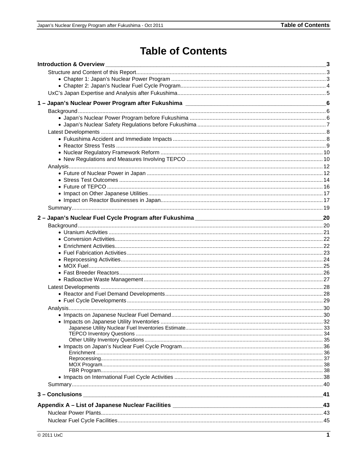# **Table of Contents**

| <b>Introduction &amp; Overview</b> |      |
|------------------------------------|------|
|                                    |      |
|                                    |      |
|                                    |      |
|                                    |      |
|                                    |      |
|                                    |      |
|                                    |      |
|                                    |      |
|                                    |      |
|                                    |      |
|                                    |      |
|                                    |      |
|                                    |      |
|                                    |      |
|                                    |      |
|                                    |      |
|                                    |      |
|                                    |      |
|                                    |      |
|                                    |      |
|                                    | - 20 |
|                                    |      |
|                                    |      |
|                                    |      |
|                                    |      |
|                                    |      |
|                                    |      |
|                                    |      |
|                                    |      |
|                                    |      |
|                                    |      |
|                                    |      |
|                                    |      |
|                                    |      |
|                                    |      |
|                                    |      |
|                                    |      |
|                                    |      |
|                                    |      |
|                                    |      |
|                                    |      |
|                                    |      |
|                                    |      |
|                                    |      |
| 3 – Conclusions                    | 41   |
|                                    |      |
|                                    | 43   |
|                                    |      |
|                                    |      |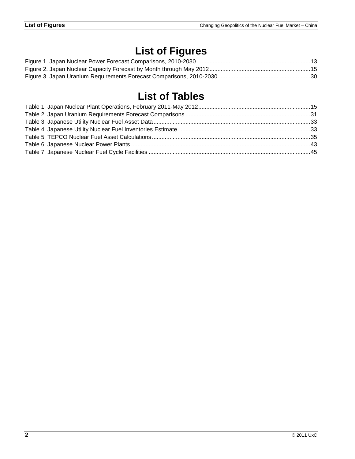# **List of Figures**

# **List of Tables**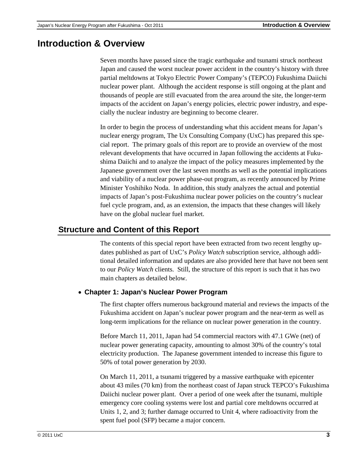## **Introduction & Overview**

Seven months have passed since the tragic earthquake and tsunami struck northeast Japan and caused the worst nuclear power accident in the country's history with three partial meltdowns at Tokyo Electric Power Company's (TEPCO) Fukushima Daiichi nuclear power plant. Although the accident response is still ongoing at the plant and thousands of people are still evacuated from the area around the site, the longer-term impacts of the accident on Japan's energy policies, electric power industry, and especially the nuclear industry are beginning to become clearer.

In order to begin the process of understanding what this accident means for Japan's nuclear energy program, The Ux Consulting Company (UxC) has prepared this special report. The primary goals of this report are to provide an overview of the most relevant developments that have occurred in Japan following the accidents at Fukushima Daiichi and to analyze the impact of the policy measures implemented by the Japanese government over the last seven months as well as the potential implications and viability of a nuclear power phase-out program, as recently announced by Prime Minister Yoshihiko Noda. In addition, this study analyzes the actual and potential impacts of Japan's post-Fukushima nuclear power policies on the country's nuclear fuel cycle program, and, as an extension, the impacts that these changes will likely have on the global nuclear fuel market.

### **Structure and Content of this Report**

The contents of this special report have been extracted from two recent lengthy updates published as part of UxC's *Policy Watch* subscription service, although additional detailed information and updates are also provided here that have not been sent to our *Policy Watch* clients. Still, the structure of this report is such that it has two main chapters as detailed below.

### • **Chapter 1: Japan's Nuclear Power Program**

The first chapter offers numerous background material and reviews the impacts of the Fukushima accident on Japan's nuclear power program and the near-term as well as long-term implications for the reliance on nuclear power generation in the country.

Before March 11, 2011, Japan had 54 commercial reactors with 47.1 GWe (net) of nuclear power generating capacity, amounting to almost 30% of the country's total electricity production. The Japanese government intended to increase this figure to 50% of total power generation by 2030.

On March 11, 2011, a tsunami triggered by a massive earthquake with epicenter about 43 miles (70 km) from the northeast coast of Japan struck TEPCO's Fukushima Daiichi nuclear power plant. Over a period of one week after the tsunami, multiple emergency core cooling systems were lost and partial core meltdowns occurred at Units 1, 2, and 3; further damage occurred to Unit 4, where radioactivity from the spent fuel pool (SFP) became a major concern.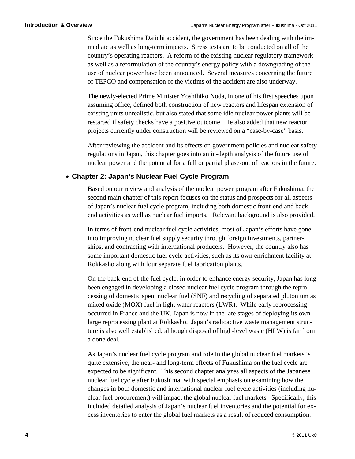Since the Fukushima Daiichi accident, the government has been dealing with the immediate as well as long-term impacts. Stress tests are to be conducted on all of the country's operating reactors. A reform of the existing nuclear regulatory framework as well as a reformulation of the country's energy policy with a downgrading of the use of nuclear power have been announced. Several measures concerning the future of TEPCO and compensation of the victims of the accident are also underway.

The newly-elected Prime Minister Yoshihiko Noda, in one of his first speeches upon assuming office, defined both construction of new reactors and lifespan extension of existing units unrealistic, but also stated that some idle nuclear power plants will be restarted if safety checks have a positive outcome. He also added that new reactor projects currently under construction will be reviewed on a "case-by-case" basis.

After reviewing the accident and its effects on government policies and nuclear safety regulations in Japan, this chapter goes into an in-depth analysis of the future use of nuclear power and the potential for a full or partial phase-out of reactors in the future.

### • **Chapter 2: Japan's Nuclear Fuel Cycle Program**

Based on our review and analysis of the nuclear power program after Fukushima, the second main chapter of this report focuses on the status and prospects for all aspects of Japan's nuclear fuel cycle program, including both domestic front-end and backend activities as well as nuclear fuel imports. Relevant background is also provided.

In terms of front-end nuclear fuel cycle activities, most of Japan's efforts have gone into improving nuclear fuel supply security through foreign investments, partnerships, and contracting with international producers. However, the country also has some important domestic fuel cycle activities, such as its own enrichment facility at Rokkasho along with four separate fuel fabrication plants.

On the back-end of the fuel cycle, in order to enhance energy security, Japan has long been engaged in developing a closed nuclear fuel cycle program through the reprocessing of domestic spent nuclear fuel (SNF) and recycling of separated plutonium as mixed oxide (MOX) fuel in light water reactors (LWR). While early reprocessing occurred in France and the UK, Japan is now in the late stages of deploying its own large reprocessing plant at Rokkasho. Japan's radioactive waste management structure is also well established, although disposal of high-level waste (HLW) is far from a done deal.

As Japan's nuclear fuel cycle program and role in the global nuclear fuel markets is quite extensive, the near- and long-term effects of Fukushima on the fuel cycle are expected to be significant. This second chapter analyzes all aspects of the Japanese nuclear fuel cycle after Fukushima, with special emphasis on examining how the changes in both domestic and international nuclear fuel cycle activities (including nuclear fuel procurement) will impact the global nuclear fuel markets. Specifically, this included detailed analysis of Japan's nuclear fuel inventories and the potential for excess inventories to enter the global fuel markets as a result of reduced consumption.